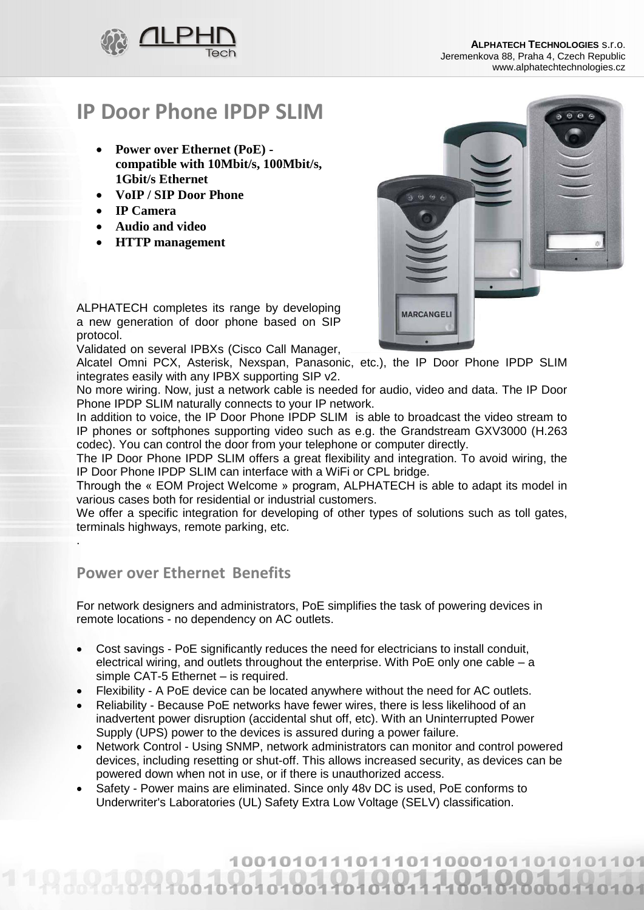

# **IP Door Phone IPDP SLIM**

- **Power over Ethernet (PoE) compatible with 10Mbit/s, 100Mbit/s, 1Gbit/s Ethernet**
- **VoIP / SIP Door Phone**
- **IP Camera**
- **Audio and video**
- **HTTP management**



ALPHATECH completes its range by developing a new generation of door phone based on SIP protocol.

Validated on several IPBXs (Cisco Call Manager,

Alcatel Omni PCX, Asterisk, Nexspan, Panasonic, etc.), the IP Door Phone IPDP SLIM integrates easily with any IPBX supporting SIP v2.

No more wiring. Now, just a network cable is needed for audio, video and data. The IP Door Phone IPDP SLIM naturally connects to your IP network.

In addition to voice, the IP Door Phone IPDP SLIM is able to broadcast the video stream to IP phones or softphones supporting video such as e.g. the Grandstream GXV3000 (H.263 codec). You can control the door from your telephone or computer directly.

The IP Door Phone IPDP SLIM offers a great flexibility and integration. To avoid wiring, the IP Door Phone IPDP SLIM can interface with a WiFi or CPL bridge.

Through the « EOM Project Welcome » program, ALPHATECH is able to adapt its model in various cases both for residential or industrial customers.

We offer a specific integration for developing of other types of solutions such as toll gates, terminals highways, remote parking, etc.

### **Power over Ethernet Benefits**

.

For network designers and administrators, PoE simplifies the task of powering devices in remote locations - no dependency on AC outlets.

- Cost savings PoE significantly reduces the need for electricians to install conduit, electrical wiring, and outlets throughout the enterprise. With PoE only one cable – a simple CAT-5 Ethernet – is required.
- Flexibility A PoE device can be located anywhere without the need for AC outlets.
- Reliability Because PoE networks have fewer wires, there is less likelihood of an inadvertent power disruption (accidental shut off, etc). With an Uninterrupted Power Supply (UPS) power to the devices is assured during a power failure.
- Network Control Using SNMP, network administrators can monitor and control powered devices, including resetting or shut-off. This allows increased security, as devices can be powered down when not in use, or if there is unauthorized access.
- Safety Power mains are eliminated. Since only 48v DC is used, PoE conforms to Underwriter's Laboratories (UL) Safety Extra Low Voltage (SELV) classification.